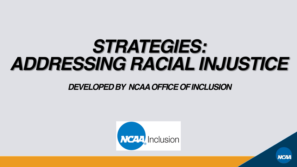## *STRATEGIES: ADDRESSING RACIAL INJUSTICE*

#### *DEVELOPED BY NCAA OFFICE OF INCLUSION*



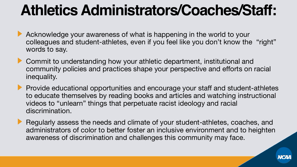### **Athletics Administrators/Coaches/Staff:**

- Acknowledge your awareness of what is happening in the world to your colleagues and student-athletes, even if you feel like you don't know the "right" words to say.
- **Commit to understanding how your athletic department, institutional and** community policies and practices shape your perspective and efforts on racial inequality.
- **Provide educational opportunities and encourage your staff and student-athletes** to educate themselves by reading books and articles and watching instructional videos to "unlearn" things that perpetuate racist ideology and racial discrimination.
- Regularly assess the needs and climate of your student-athletes, coaches, and administrators of color to better foster an inclusive environment and to heighten awareness of discrimination and challenges this community may face.

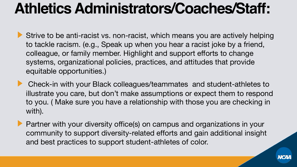### **Athletics Administrators/Coaches/Staff:**

- Strive to be anti-racist vs. non-racist, which means you are actively helping to tackle racism. (e.g., Speak up when you hear a racist joke by a friend, colleague, or family member. Highlight and support efforts to change systems, organizational policies, practices, and attitudes that provide equitable opportunities.)
- **Check-in with your Black colleagues/teammates and student-athletes to** illustrate you care, but don't make assumptions or expect them to respond to you. ( Make sure you have a relationship with those you are checking in with).
- **Partner with your diversity office(s) on campus and organizations in your** community to support diversity-related efforts and gain additional insight and best practices to support student-athletes of color.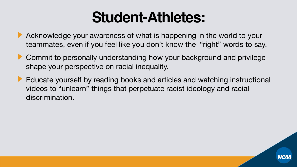#### **Student-Athletes:**

- Acknowledge your awareness of what is happening in the world to your teammates, even if you feel like you don't know the "right" words to say.
- **Commit to personally understanding how your background and privilege** shape your perspective on racial inequality.
- Educate yourself by reading books and articles and watching instructional videos to "unlearn" things that perpetuate racist ideology and racial discrimination.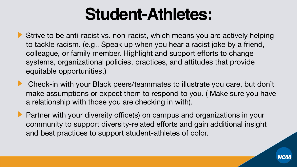## **Student-Athletes:**

Strive to be anti-racist vs. non-racist, which means you are actively helping to tackle racism. (e.g., Speak up when you hear a racist joke by a friend, colleague, or family member. Highlight and support efforts to change systems, organizational policies, practices, and attitudes that provide equitable opportunities.)

Check-in with your Black peers/teammates to illustrate you care, but don't make assumptions or expect them to respond to you. ( Make sure you have a relationship with those you are checking in with).

**Partner with your diversity office(s) on campus and organizations in your** community to support diversity-related efforts and gain additional insight and best practices to support student-athletes of color.